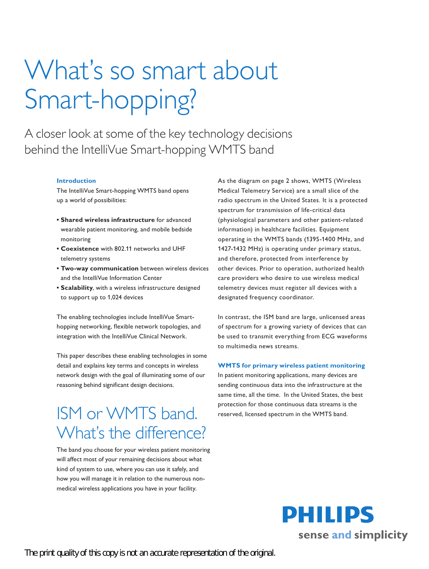# What's so smart about Smart-hopping?

A closer look at some of the key technology decisions behind the IntelliVue Smart-hopping WMTS band

### **Introduction**

The IntelliVue Smart-hopping WMTS band opens up a world of possibilities:

- **Shared wireless infrastructure** for advanced wearable patient monitoring, and mobile bedside monitoring
- **• Coexistence** with 802.11 networks and UHF telemetry systems
- **Two-way communication** between wireless devices and the IntelliVue Information Center
- **• Scalability**, with a wireless infrastructure designed to support up to 1,024 devices

The enabling technologies include IntelliVue Smarthopping networking, flexible network topologies, and integration with the IntelliVue Clinical Network.

This paper describes these enabling technologies in some detail and explains key terms and concepts in wireless network design with the goal of illuminating some of our reasoning behind significant design decisions.

## ISM or WMTS band. What's the difference?

The band you choose for your wireless patient monitoring will affect most of your remaining decisions about what kind of system to use, where you can use it safely, and how you will manage it in relation to the numerous nonmedical wireless applications you have in your facility.

As the diagram on page 2 shows, WMTS (Wireless Medical Telemetry Service) are a small slice of the radio spectrum in the United States. It is a protected spectrum for transmission of life-critical data (physiological parameters and other patient-related information) in healthcare facilities. Equipment operating in the WMTS bands (1395-1400 MHz, and 1427-1432 MHz) is operating under primary status, and therefore, protected from interference by other devices. Prior to operation, authorized health care providers who desire to use wireless medical telemetry devices must register all devices with a designated frequency coordinator.

In contrast, the ISM band are large, unlicensed areas of spectrum for a growing variety of devices that can be used to transmit everything from ECG waveforms to multimedia news streams.

### **WMTS** for primary wireless patient monitoring

In patient monitoring applications, many devices are sending continuous data into the infrastructure at the same time, all the time. In the United States, the best protection for those continuous data streams is the reserved, licensed spectrum in the WMTS band.

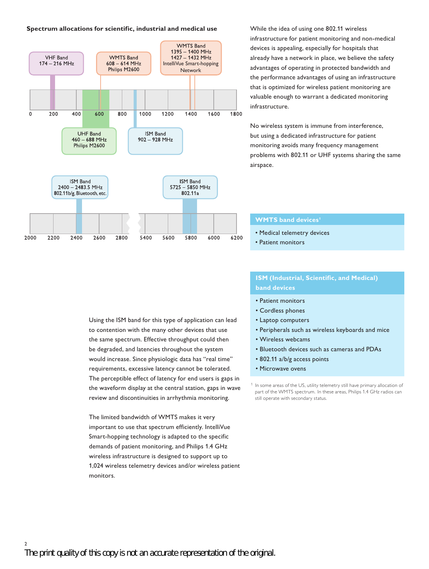### **Spectrum allocations for scientific, industrial and medical use**



While the idea of using one 802.11 wireless infrastructure for patient monitoring and non-medical devices is appealing, especially for hospitals that already have a network in place, we believe the safety advantages of operating in protected bandwidth and the performance advantages of using an infrastructure that is optimized for wireless patient monitoring are valuable enough to warrant a dedicated monitoring infrastructure.

No wireless system is immune from interference, but using a dedicated infrastructure for patient monitoring avoids many frequency management problems with 802.11 or UHF systems sharing the same airspace.

### **WMTS** band devices<sup>1</sup>

- • Medical telemetry devices
- Patient monitors

### **ISM** (Industrial, Scientific, and Medical) **band devices**

- Patient monitors
- • Cordless phones
- • Laptop computers
- Peripherals such as wireless keyboards and mice
- • Wireless webcams
- • Bluetooth devices such as cameras and PDAs
- • 802.11 a/b/g access points
- Microwave ovens

<sup>1</sup> In some areas of the US, utility telemetry still have primary allocation of part of the WMTS spectrum. In these areas, Philips 1.4 GHz radios can still operate with secondary status.

Using the ISM band for this type of application can lead to contention with the many other devices that use the same spectrum. Effective throughput could then be degraded, and latencies throughout the system would increase. Since physiologic data has "real time" requirements, excessive latency cannot be tolerated. The perceptible effect of latency for end users is gaps in the waveform display at the central station, gaps in wave review and discontinuities in arrhythmia monitoring.

The limited bandwidth of WMTS makes it very important to use that spectrum efficiently. IntelliVue Smart-hopping technology is adapted to the specific demands of patient monitoring, and Philips 1.4 GHz wireless infrastructure is designed to support up to 1,024 wireless telemetry devices and/or wireless patient monitors.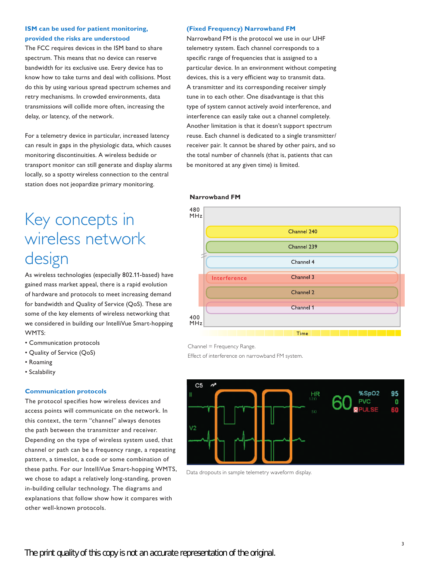### **ISM** can be used for patient monitoring, **provided the risks are understood**

The FCC requires devices in the ISM band to share spectrum. This means that no device can reserve bandwidth for its exclusive use. Every device has to know how to take turns and deal with collisions. Most do this by using various spread spectrum schemes and retry mechanisms. In crowded environments, data transmissions will collide more often, increasing the delay, or latency, of the network.

For a telemetry device in particular, increased latency can result in gaps in the physiologic data, which causes monitoring discontinuities. A wireless bedside or transport monitor can still generate and display alarms locally, so a spotty wireless connection to the central station does not jeopardize primary monitoring.

### **(Fixed Frequency) Narrowband FM**

Narrowband FM is the protocol we use in our UHF telemetry system. Each channel corresponds to a specific range of frequencies that is assigned to a particular device. In an environment without competing devices, this is a very efficient way to transmit data. A transmitter and its corresponding receiver simply tune in to each other. One disadvantage is that this type of system cannot actively avoid interference, and interference can easily take out a channel completely. Another limitation is that it doesn't support spectrum reuse. Each channel is dedicated to a single transmitter/ receiver pair. It cannot be shared by other pairs, and so the total number of channels (that is, patients that can be monitored at any given time) is limited.

### **Narrowband FM**

# Key concepts in wireless network design

As wireless technologies (especially 802.11-based) have gained mass market appeal, there is a rapid evolution of hardware and protocols to meet increasing demand for bandwidth and Quality of Service (QoS). These are some of the key elements of wireless networking that we considered in building our IntelliVue Smart-hopping WMTS:

- • Communication protocols
- • Quality of Service (QoS)
- • Roaming
- • Scalability

### **Communication protocols**

The protocol specifies how wireless devices and access points will communicate on the network. In this context, the term "channel" always denotes the path between the transmitter and receiver. Depending on the type of wireless system used, that channel or path can be a frequency range, a repeating pattern, a timeslot, a code or some combination of these paths. For our IntelliVue Smart-hopping WMTS, we chose to adapt a relatively long-standing, proven in-building cellular technology. The diagrams and explanations that follow show how it compares with other well-known protocols.



Channel = Frequency Range.

Effect of interference on narrowband FM system.



Data dropouts in sample telemetry waveform display.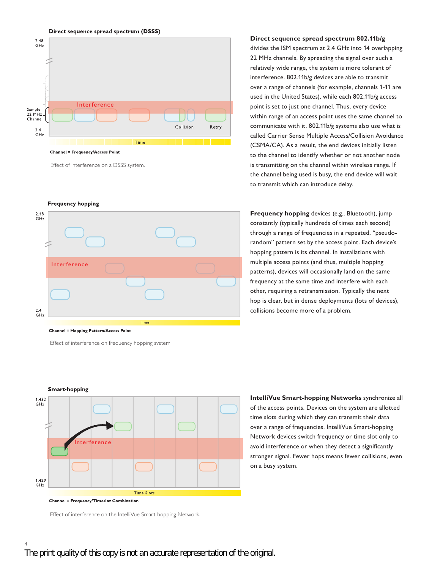

Effect of interference on a DSSS system.

**Frequency hopping** 



Effect of interference on frequency hopping system.

**Direct sequence spread spectrum 802.11b/g** 

divides the ISM spectrum at 2.4 GHz into 14 overlapping 22 MHz channels. By spreading the signal over such a relatively wide range, the system is more tolerant of interference. 802.11b/g devices are able to transmit over a range of channels (for example, channels 1-11 are used in the United States), while each 802.11b/g access point is set to just one channel. Thus, every device within range of an access point uses the same channel to communicate with it. 802.11b/g systems also use what is called Carrier Sense Multiple Access/Collision Avoidance (CSMA/CA). As a result, the end devices initially listen to the channel to identify whether or not another node is transmitting on the channel within wireless range. If the channel being used is busy, the end device will wait to transmit which can introduce delay.

**Frequency hopping** devices (e.g., Bluetooth), jump constantly (typically hundreds of times each second) through a range of frequencies in a repeated, "pseudorandom" pattern set by the access point. Each device's hopping pattern is its channel. In installations with multiple access points (and thus, multiple hopping patterns), devices will occasionally land on the same frequency at the same time and interfere with each other, requiring a retransmission. Typically the next hop is clear, but in dense deployments (lots of devices), collisions become more of a problem.

**IntelliVue Smart-hopping Networks** synchronize all of the access points. Devices on the system are allotted time slots during which they can transmit their data over a range of frequencies. IntelliVue Smart-hopping Network devices switch frequency or time slot only to avoid interference or when they detect a significantly stronger signal. Fewer hops means fewer collisions, even on a busy system.

**Smart-hopping** 



**Channel = Frequency/Timeslot Combination** 

Effect of interference on the IntelliVue Smart-hopping Network.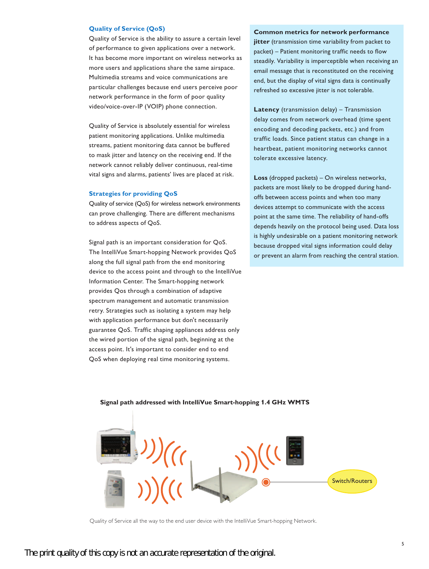### **Quality of Service (OoS)**

Quality of Service is the ability to assure a certain level of performance to given applications over a network. It has become more important on wireless networks as more users and applications share the same airspace. Multimedia streams and voice communications are particular challenges because end users perceive poor network performance in the form of poor quality video/voice-over-IP (VOIP) phone connection.

Quality of Service is absolutely essential for wireless patient monitoring applications. Unlike multimedia streams, patient monitoring data cannot be buffered to mask jitter and latency on the receiving end. If the network cannot reliably deliver continuous, real-time vital signs and alarms, patients' lives are placed at risk.

### **Strategies for providing QoS**

Quality of service (QoS) for wireless network environments can prove challenging. There are different mechanisms to address aspects of QoS.

Signal path is an important consideration for QoS. The IntelliVue Smart-hopping Network provides QoS along the full signal path from the end monitoring device to the access point and through to the IntelliVue Information Center. The Smart-hopping network provides Qos through a combination of adaptive spectrum management and automatic transmission retry. Strategies such as isolating a system may help with application performance but don't necessarily guarantee QoS. Traffic shaping appliances address only the wired portion of the signal path, beginning at the access point. It's important to consider end to end QoS when deploying real time monitoring systems.

#### **Common metrics for network performance**

**jitter** (transmission time variability from packet to packet) – Patient monitoring traffic needs to flow steadily. Variability is imperceptible when receiving an email message that is reconstituted on the receiving end, but the display of vital signs data is continually refreshed so excessive jitter is not tolerable.

**Latency** (transmission delay) – Transmission delay comes from network overhead (time spent encoding and decoding packets, etc.) and from traffic loads. Since patient status can change in a heartbeat, patient monitoring networks cannot tolerate excessive latency.

**Loss** (dropped packets) – On wireless networks, packets are most likely to be dropped during handoffs between access points and when too many devices attempt to communicate with the access point at the same time. The reliability of hand-offs depends heavily on the protocol being used. Data loss is highly undesirable on a patient monitoring network because dropped vital signs information could delay or prevent an alarm from reaching the central station.



### **Signal path addressed with IntelliVue Smart-hopping 1.4 GHz WMTS**

Quality of Service all the way to the end user device with the IntelliVue Smart-hopping Network.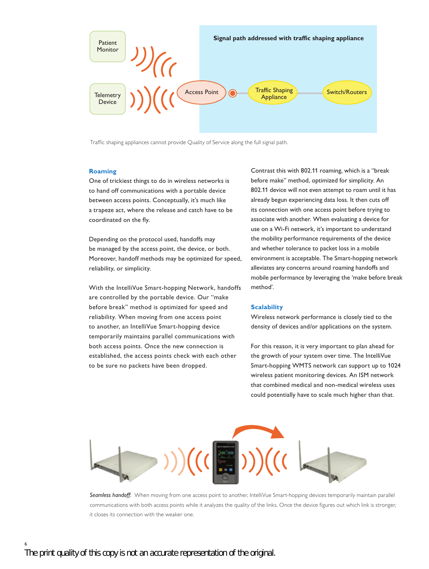

Traffic shaping appliances cannot provide Quality of Service along the full signal path.

### **Roaming**

One of trickiest things to do in wireless networks is to hand off communications with a portable device between access points. Conceptually, it's much like a trapeze act, where the release and catch have to be coordinated on the fly.

Depending on the protocol used, handoffs may be managed by the access point, the device, or both. Moreover, handoff methods may be optimized for speed, reliability, or simplicity.

With the IntelliVue Smart-hopping Network, handoffs are controlled by the portable device. Our "make before break" method is optimized for speed and reliability. When moving from one access point to another, an IntelliVue Smart-hopping device temporarily maintains parallel communications with both access points. Once the new connection is established, the access points check with each other to be sure no packets have been dropped.

Contrast this with 802.11 roaming, which is a "break before make" method, optimized for simplicity. An 802.11 device will not even attempt to roam until it has already begun experiencing data loss. It then cuts off its connection with one access point before trying to associate with another. When evaluating a device for use on a Wi-Fi network, it's important to understand the mobility performance requirements of the device and whether tolerance to packet loss in a mobile environment is acceptable. The Smart-hopping network alleviates any concerns around roaming handoffs and mobile performance by leveraging the 'make before break method'.

### **Scalability**

Wireless network performance is closely tied to the density of devices and/or applications on the system.

For this reason, it is very important to plan ahead for the growth of your system over time. The IntelliVue Smart-hopping WMTS network can support up to 1024 wireless patient monitoring devices. An ISM network that combined medical and non-medical wireless uses could potentially have to scale much higher than that.



*Seamless handoff:* When moving from one access point to another, IntelliVue Smart-hopping devices temporarily maintain parallel communications with both access points while it analyzes the quality of the links. Once the device figures out which link is stronger, it closes its connection with the weaker one.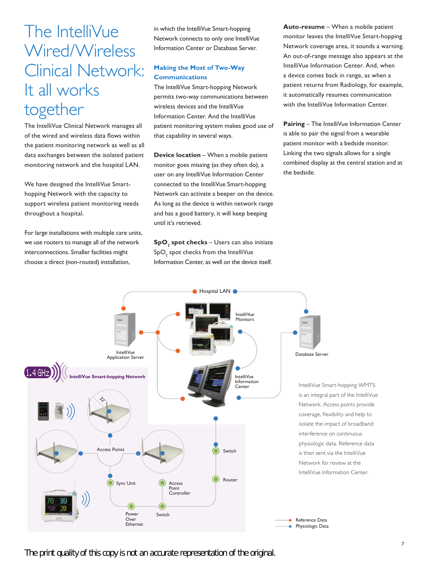The IntelliVue Wired/Wireless Clinical Network: It all works together

The IntelliVue Clinical Network manages all of the wired and wireless data flows within the patient monitoring network as well as all data exchanges between the isolated patient monitoring network and the hospital LAN.

We have designed the IntelliVue Smarthopping Network with the capacity to support wireless patient monitoring needs throughout a hospital.

For large installations with multiple care units, we use routers to manage all of the network interconnections. Smaller facilities might choose a direct (non-routed) installation,

in which the IntelliVue Smart-hopping Network connects to only one IntelliVue Information Center or Database Server.

### **Making the Most of Two-Way Communications**

The IntelliVue Smart-hopping Network permits two-way communications between wireless devices and the IntelliVue Information Center. And the IntelliVue patient monitoring system makes good use of that capability in several ways.

**Device location** – When a mobile patient monitor goes missing (as they often do), a user on any IntelliVue Information Center connected to the IntelliVue Smart-hopping Network can activate a beeper on the device. As long as the device is within network range and has a good battery, it will keep beeping until it's retrieved.

**SpO2 spot checks** – Users can also initiate Sp $\mathsf{O}_2$  spot checks from the IntelliVue Information Center, as well on the device itself.

**Auto-resume** – When a mobile patient monitor leaves the IntelliVue Smart-hopping Network coverage area, it sounds a warning. An out-of-range message also appears at the IntelliVue Information Center. And, when a device comes back in range, as when a patient returns from Radiology, for example, it automatically resumes communication with the IntelliVue Information Center.

**Pairing** – The IntelliVue Information Center is able to pair the signal from a wearable patient monitor with a bedside monitor. Linking the two signals allows for a single combined display at the central station and at the bedside.